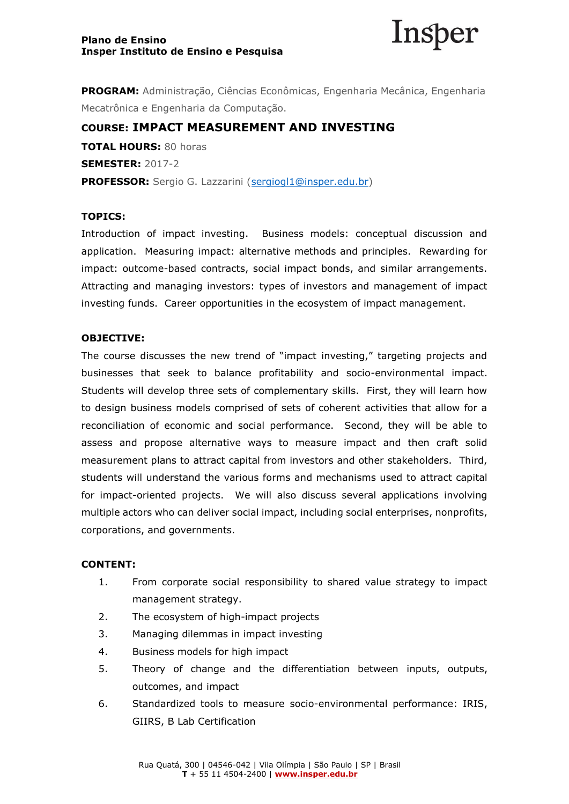

**PROGRAM:** Administração, Ciências Econômicas, Engenharia Mecânica, Engenharia Mecatrônica e Engenharia da Computação.

# **COURSE: IMPACT MEASUREMENT AND INVESTING**

**TOTAL HOURS:** 80 horas **SEMESTER:** 2017-2 PROFESSOR: Sergio G. Lazzarini [\(sergiogl1@insper.edu.br\)](mailto:sergiogl1@insper.edu.br)

## **TOPICS:**

Introduction of impact investing. Business models: conceptual discussion and application. Measuring impact: alternative methods and principles. Rewarding for impact: outcome-based contracts, social impact bonds, and similar arrangements. Attracting and managing investors: types of investors and management of impact investing funds. Career opportunities in the ecosystem of impact management.

#### **OBJECTIVE:**

The course discusses the new trend of "impact investing," targeting projects and businesses that seek to balance profitability and socio-environmental impact. Students will develop three sets of complementary skills. First, they will learn how to design business models comprised of sets of coherent activities that allow for a reconciliation of economic and social performance. Second, they will be able to assess and propose alternative ways to measure impact and then craft solid measurement plans to attract capital from investors and other stakeholders. Third, students will understand the various forms and mechanisms used to attract capital for impact-oriented projects. We will also discuss several applications involving multiple actors who can deliver social impact, including social enterprises, nonprofits, corporations, and governments.

#### **CONTENT:**

- 1. From corporate social responsibility to shared value strategy to impact management strategy.
- 2. The ecosystem of high-impact projects
- 3. Managing dilemmas in impact investing
- 4. Business models for high impact
- 5. Theory of change and the differentiation between inputs, outputs, outcomes, and impact
- 6. Standardized tools to measure socio-environmental performance: IRIS, GIIRS, B Lab Certification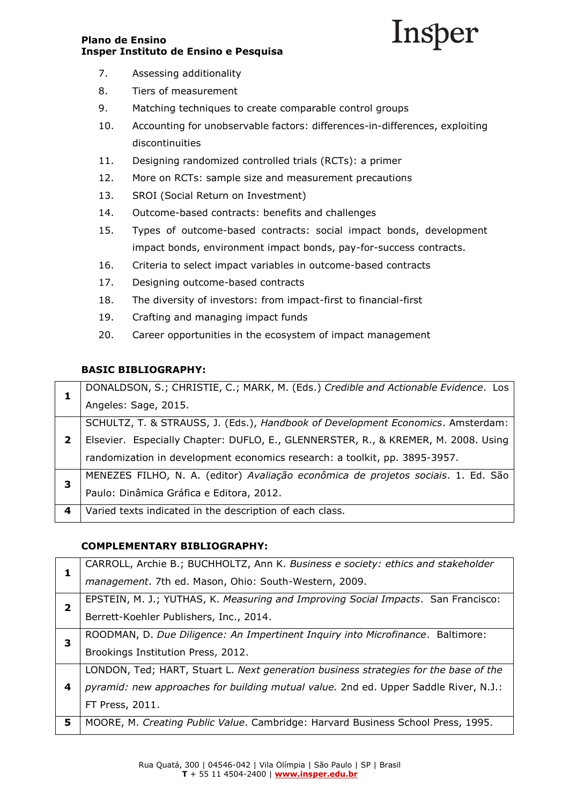# Insper

- 7. Assessing additionality
- 8. Tiers of measurement
- 9. Matching techniques to create comparable control groups
- 10. Accounting for unobservable factors: differences-in-differences, exploiting discontinuities
- 11. Designing randomized controlled trials (RCTs): a primer
- 12. More on RCTs: sample size and measurement precautions
- 13. SROI (Social Return on Investment)
- 14. Outcome-based contracts: benefits and challenges
- 15. Types of outcome-based contracts: social impact bonds, development impact bonds, environment impact bonds, pay-for-success contracts.
- 16. Criteria to select impact variables in outcome-based contracts
- 17. Designing outcome-based contracts
- 18. The diversity of investors: from impact-first to financial-first
- 19. Crafting and managing impact funds
- 20. Career opportunities in the ecosystem of impact management

# **BASIC BIBLIOGRAPHY:**

|   | DONALDSON, S.; CHRISTIE, C.; MARK, M. (Eds.) Credible and Actionable Evidence. Los |
|---|------------------------------------------------------------------------------------|
|   | Angeles: Sage, 2015.                                                               |
| 2 | SCHULTZ, T. & STRAUSS, J. (Eds.), Handbook of Development Economics. Amsterdam:    |
|   | Elsevier. Especially Chapter: DUFLO, E., GLENNERSTER, R., & KREMER, M. 2008. Using |
|   | randomization in development economics research: a toolkit, pp. 3895-3957.         |
| з | MENEZES FILHO, N. A. (editor) Avaliação econômica de projetos sociais. 1. Ed. São  |
|   | Paulo: Dinâmica Gráfica e Editora, 2012.                                           |
| 4 | Varied texts indicated in the description of each class.                           |

## **COMPLEMENTARY BIBLIOGRAPHY:**

|   | CARROLL, Archie B.; BUCHHOLTZ, Ann K. Business e society: ethics and stakeholder            |
|---|---------------------------------------------------------------------------------------------|
|   | management. 7th ed. Mason, Ohio: South-Western, 2009.                                       |
| 2 | EPSTEIN, M. J.; YUTHAS, K. Measuring and Improving Social Impacts. San Francisco:           |
|   | Berrett-Koehler Publishers, Inc., 2014.                                                     |
| 3 | ROODMAN, D. Due Diligence: An Impertinent Inquiry into Microfinance. Baltimore:             |
|   | Brookings Institution Press, 2012.                                                          |
|   | LONDON, Ted; HART, Stuart L. Next generation business strategies for the base of the        |
| 4 | <i>pyramid: new approaches for building mutual value.</i> 2nd ed. Upper Saddle River, N.J.: |
|   | FT Press, 2011.                                                                             |
| 5 | MOORE, M. Creating Public Value. Cambridge: Harvard Business School Press, 1995.            |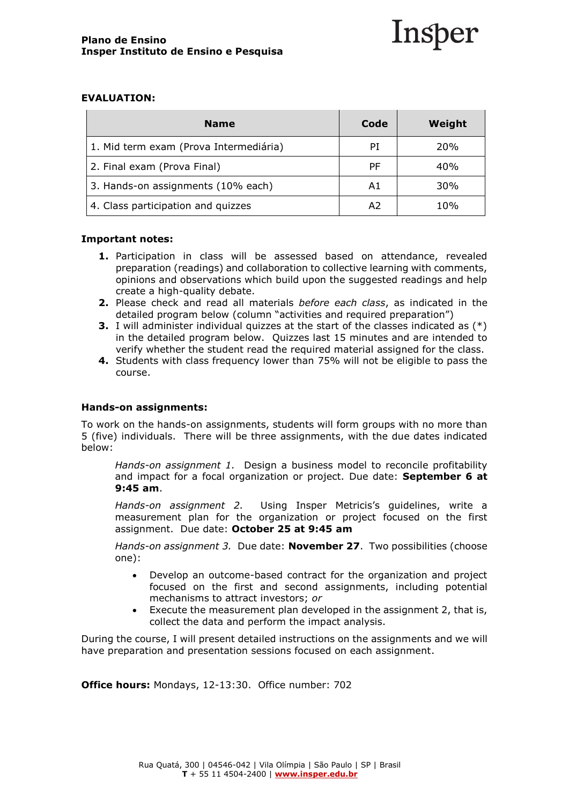

#### **EVALUATION:**

| <b>Name</b>                            | Code | Weight     |
|----------------------------------------|------|------------|
| 1. Mid term exam (Prova Intermediária) | PI   | <b>20%</b> |
| 2. Final exam (Prova Final)            | РF   | 40%        |
| 3. Hands-on assignments (10% each)     | A1   | 30%        |
| 4. Class participation and quizzes     | A2   | 10%        |

#### **Important notes:**

- **1.** Participation in class will be assessed based on attendance, revealed preparation (readings) and collaboration to collective learning with comments, opinions and observations which build upon the suggested readings and help create a high-quality debate.
- **2.** Please check and read all materials *before each class*, as indicated in the detailed program below (column "activities and required preparation")
- **3.** I will administer individual quizzes at the start of the classes indicated as  $(*)$ in the detailed program below. Quizzes last 15 minutes and are intended to verify whether the student read the required material assigned for the class.
- **4.** Students with class frequency lower than 75% will not be eligible to pass the course.

#### **Hands-on assignments:**

To work on the hands-on assignments, students will form groups with no more than 5 (five) individuals. There will be three assignments, with the due dates indicated below:

*Hands-on assignment 1.*Design a business model to reconcile profitability and impact for a focal organization or project. Due date: **September 6 at 9:45 am**.

*Hands-on assignment 2.*Using Insper Metricis's guidelines, write a measurement plan for the organization or project focused on the first assignment. Due date: **October 25 at 9:45 am**

*Hands-on assignment 3.*Due date: **November 27**.Two possibilities (choose one):

- Develop an outcome-based contract for the organization and project focused on the first and second assignments, including potential mechanisms to attract investors; *or*
- Execute the measurement plan developed in the assignment 2, that is, collect the data and perform the impact analysis.

During the course, I will present detailed instructions on the assignments and we will have preparation and presentation sessions focused on each assignment.

**Office hours:** Mondays, 12-13:30. Office number: 702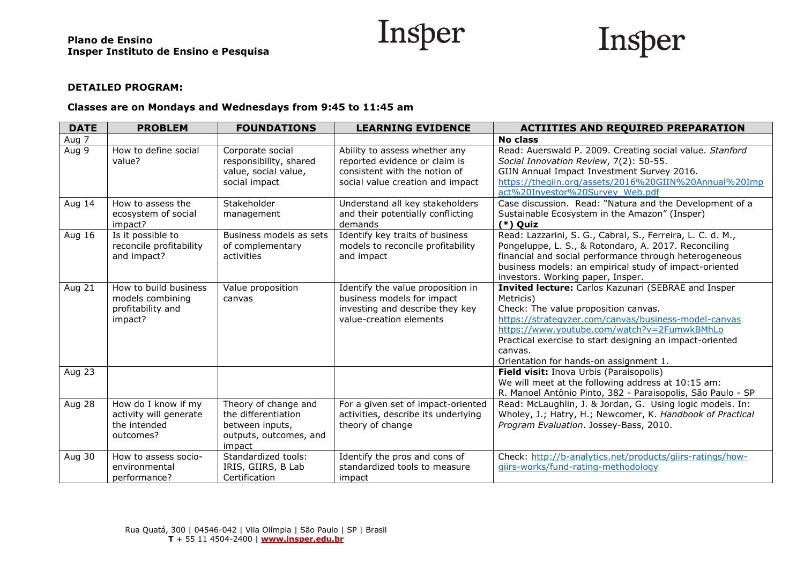



## **DETAILED PROGRAM:**

#### **Classes are on Mondays and Wednesdays from 9:45 to 11:45 am**

| <b>DATE</b>   | <b>PROBLEM</b>                                                             | <b>FOUNDATIONS</b>                                                                                 | <b>LEARNING EVIDENCE</b>                                                                                                            | <b>ACTIITIES AND REQUIRED PREPARATION</b>                                                                                                                                                                                                                                                                                        |
|---------------|----------------------------------------------------------------------------|----------------------------------------------------------------------------------------------------|-------------------------------------------------------------------------------------------------------------------------------------|----------------------------------------------------------------------------------------------------------------------------------------------------------------------------------------------------------------------------------------------------------------------------------------------------------------------------------|
| Aug 7         |                                                                            |                                                                                                    |                                                                                                                                     | <b>No class</b>                                                                                                                                                                                                                                                                                                                  |
| Aug 9         | How to define social<br>value?                                             | Corporate social<br>responsibility, shared<br>value, social value,<br>social impact                | Ability to assess whether any<br>reported evidence or claim is<br>consistent with the notion of<br>social value creation and impact | Read: Auerswald P. 2009. Creating social value. Stanford<br>Social Innovation Review, 7(2): 50-55.<br>GIIN Annual Impact Investment Survey 2016.<br>https://thegiin.org/assets/2016%20GIIN%20Annual%20Imp<br>act%20Investor%20Survey Web.pdf                                                                                     |
| Aug 14        | How to assess the<br>ecosystem of social<br>impact?                        | Stakeholder<br>management                                                                          | Understand all key stakeholders<br>and their potentially conflicting<br>demands                                                     | Case discussion. Read: "Natura and the Development of a<br>Sustainable Ecosystem in the Amazon" (Insper)<br>$(*)$ Quiz                                                                                                                                                                                                           |
| Aug 16        | Is it possible to<br>reconcile profitability<br>and impact?                | Business models as sets<br>of complementary<br>activities                                          | Identify key traits of business<br>models to reconcile profitability<br>and impact                                                  | Read: Lazzarini, S. G., Cabral, S., Ferreira, L. C. d. M.,<br>Pongeluppe, L. S., & Rotondaro, A. 2017. Reconciling<br>financial and social performance through heterogeneous<br>business models: an empirical study of impact-oriented<br>investors. Working paper, Insper.                                                      |
| Aug 21        | How to build business<br>models combining<br>profitability and<br>impact?  | Value proposition<br>canvas                                                                        | Identify the value proposition in<br>business models for impact<br>investing and describe they key<br>value-creation elements       | Invited lecture: Carlos Kazunari (SEBRAE and Insper<br>Metricis)<br>Check: The value proposition canvas.<br>https://strategyzer.com/canvas/business-model-canvas<br>https://www.youtube.com/watch?v=2FumwkBMhLo<br>Practical exercise to start designing an impact-oriented<br>canvas.<br>Orientation for hands-on assignment 1. |
| <b>Aug 23</b> |                                                                            |                                                                                                    |                                                                                                                                     | Field visit: Inova Urbis (Paraisopolis)<br>We will meet at the following address at 10:15 am:<br>R. Manoel Antônio Pinto, 382 - Paraisopolis, São Paulo - SP                                                                                                                                                                     |
| Aug 28        | How do I know if my<br>activity will generate<br>the intended<br>outcomes? | Theory of change and<br>the differentiation<br>between inputs,<br>outputs, outcomes, and<br>impact | For a given set of impact-oriented<br>activities, describe its underlying<br>theory of change                                       | Read: McLaughlin, J. & Jordan, G. Using logic models. In:<br>Wholey, J.; Hatry, H.; Newcomer, K. Handbook of Practical<br>Program Evaluation. Jossey-Bass, 2010.                                                                                                                                                                 |
| Aug 30        | How to assess socio-<br>environmental<br>performance?                      | Standardized tools:<br>IRIS, GIIRS, B Lab<br>Certification                                         | Identify the pros and cons of<br>standardized tools to measure<br>impact                                                            | Check: http://b-analytics.net/products/giirs-ratings/how-<br>giirs-works/fund-rating-methodology                                                                                                                                                                                                                                 |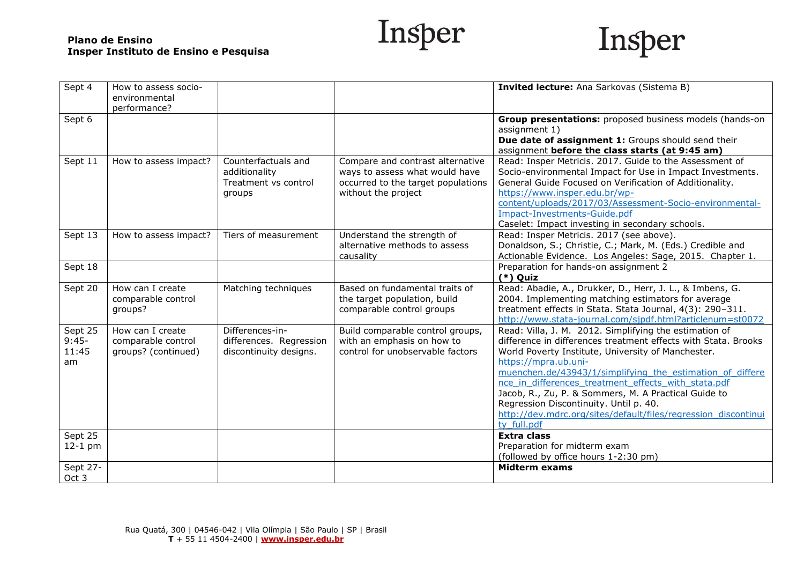Insper



| Sept 4    | How to assess socio-  |                         |                                    | Invited lecture: Ana Sarkovas (Sistema B)                      |
|-----------|-----------------------|-------------------------|------------------------------------|----------------------------------------------------------------|
|           | environmental         |                         |                                    |                                                                |
|           | performance?          |                         |                                    |                                                                |
| Sept 6    |                       |                         |                                    | Group presentations: proposed business models (hands-on        |
|           |                       |                         |                                    | assignment 1)                                                  |
|           |                       |                         |                                    | Due date of assignment 1: Groups should send their             |
|           |                       |                         |                                    | assignment before the class starts (at 9:45 am)                |
| Sept 11   | How to assess impact? | Counterfactuals and     | Compare and contrast alternative   | Read: Insper Metricis. 2017. Guide to the Assessment of        |
|           |                       | additionality           | ways to assess what would have     | Socio-environmental Impact for Use in Impact Investments.      |
|           |                       | Treatment vs control    | occurred to the target populations | General Guide Focused on Verification of Additionality.        |
|           |                       | groups                  | without the project                | https://www.insper.edu.br/wp-                                  |
|           |                       |                         |                                    | content/uploads/2017/03/Assessment-Socio-environmental-        |
|           |                       |                         |                                    | Impact-Investments-Guide.pdf                                   |
|           |                       |                         |                                    | Caselet: Impact investing in secondary schools.                |
| Sept 13   | How to assess impact? | Tiers of measurement    | Understand the strength of         | Read: Insper Metricis. 2017 (see above).                       |
|           |                       |                         | alternative methods to assess      | Donaldson, S.; Christie, C.; Mark, M. (Eds.) Credible and      |
|           |                       |                         | causality                          | Actionable Evidence. Los Angeles: Sage, 2015. Chapter 1.       |
| Sept 18   |                       |                         |                                    | Preparation for hands-on assignment 2                          |
|           |                       |                         |                                    | $(*)$ Quiz                                                     |
| Sept 20   | How can I create      | Matching techniques     | Based on fundamental traits of     | Read: Abadie, A., Drukker, D., Herr, J. L., & Imbens, G.       |
|           | comparable control    |                         | the target population, build       | 2004. Implementing matching estimators for average             |
|           | groups?               |                         | comparable control groups          | treatment effects in Stata. Stata Journal, 4(3): 290-311.      |
|           |                       |                         |                                    | http://www.stata-journal.com/sjpdf.html?articlenum=st0072      |
| Sept 25   | How can I create      | Differences-in-         | Build comparable control groups,   | Read: Villa, J. M. 2012. Simplifying the estimation of         |
| $9:45-$   | comparable control    | differences. Regression | with an emphasis on how to         | difference in differences treatment effects with Stata. Brooks |
| 11:45     | groups? (continued)   | discontinuity designs.  | control for unobservable factors   | World Poverty Institute, University of Manchester.             |
| am        |                       |                         |                                    | https://mpra.ub.uni-                                           |
|           |                       |                         |                                    | muenchen.de/43943/1/simplifying the estimation of differe      |
|           |                       |                         |                                    | nce in differences treatment effects with stata.pdf            |
|           |                       |                         |                                    | Jacob, R., Zu, P. & Sommers, M. A Practical Guide to           |
|           |                       |                         |                                    | Regression Discontinuity. Until p. 40.                         |
|           |                       |                         |                                    | http://dev.mdrc.org/sites/default/files/regression discontinui |
|           |                       |                         |                                    | ty full.pdf                                                    |
| Sept 25   |                       |                         |                                    | <b>Extra class</b>                                             |
| $12-1$ pm |                       |                         |                                    | Preparation for midterm exam                                   |
|           |                       |                         |                                    | (followed by office hours 1-2:30 pm)                           |
| Sept 27-  |                       |                         |                                    | <b>Midterm exams</b>                                           |
| Oct 3     |                       |                         |                                    |                                                                |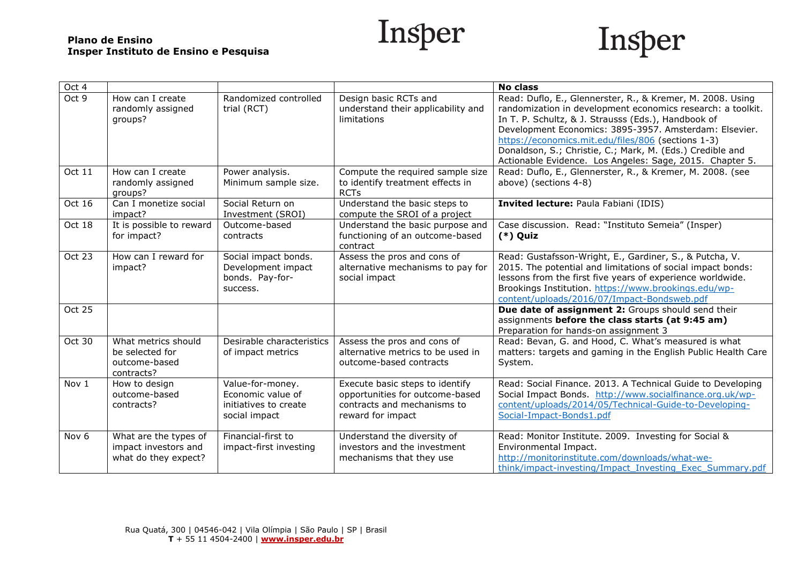



| Oct 4            |                                                                       |                                                                                 |                                                                                                                        | <b>No class</b>                                                                                                                                                                                                                                                                                                                                                                                                           |
|------------------|-----------------------------------------------------------------------|---------------------------------------------------------------------------------|------------------------------------------------------------------------------------------------------------------------|---------------------------------------------------------------------------------------------------------------------------------------------------------------------------------------------------------------------------------------------------------------------------------------------------------------------------------------------------------------------------------------------------------------------------|
| Oct 9            | How can I create<br>randomly assigned<br>groups?                      | Randomized controlled<br>trial (RCT)                                            | Design basic RCTs and<br>understand their applicability and<br>limitations                                             | Read: Duflo, E., Glennerster, R., & Kremer, M. 2008. Using<br>randomization in development economics research: a toolkit.<br>In T. P. Schultz, & J. Strausss (Eds.), Handbook of<br>Development Economics: 3895-3957. Amsterdam: Elsevier.<br>https://economics.mit.edu/files/806 (sections 1-3)<br>Donaldson, S.; Christie, C.; Mark, M. (Eds.) Credible and<br>Actionable Evidence. Los Angeles: Sage, 2015. Chapter 5. |
| Oct 11           | How can I create<br>randomly assigned<br>groups?                      | Power analysis.<br>Minimum sample size.                                         | Compute the required sample size<br>to identify treatment effects in<br><b>RCTs</b>                                    | Read: Duflo, E., Glennerster, R., & Kremer, M. 2008. (see<br>above) (sections 4-8)                                                                                                                                                                                                                                                                                                                                        |
| Oct 16           | Can I monetize social<br>impact?                                      | Social Return on<br>Investment (SROI)                                           | Understand the basic steps to<br>compute the SROI of a project                                                         | Invited lecture: Paula Fabiani (IDIS)                                                                                                                                                                                                                                                                                                                                                                                     |
| Oct 18           | It is possible to reward<br>for impact?                               | Outcome-based<br>contracts                                                      | Understand the basic purpose and<br>functioning of an outcome-based<br>contract                                        | Case discussion. Read: "Instituto Semeia" (Insper)<br>$(*)$ Quiz                                                                                                                                                                                                                                                                                                                                                          |
| Oct 23           | How can I reward for<br>impact?                                       | Social impact bonds.<br>Development impact<br>bonds. Pay-for-<br>success.       | Assess the pros and cons of<br>alternative mechanisms to pay for<br>social impact                                      | Read: Gustafsson-Wright, E., Gardiner, S., & Putcha, V.<br>2015. The potential and limitations of social impact bonds:<br>lessons from the first five years of experience worldwide.<br>Brookings Institution. https://www.brookings.edu/wp-<br>content/uploads/2016/07/Impact-Bondsweb.pdf                                                                                                                               |
| <b>Oct 25</b>    |                                                                       |                                                                                 |                                                                                                                        | Due date of assignment 2: Groups should send their<br>assignments before the class starts (at 9:45 am)<br>Preparation for hands-on assignment 3                                                                                                                                                                                                                                                                           |
| Oct 30           | What metrics should<br>be selected for<br>outcome-based<br>contracts? | Desirable characteristics<br>of impact metrics                                  | Assess the pros and cons of<br>alternative metrics to be used in<br>outcome-based contracts                            | Read: Bevan, G. and Hood, C. What's measured is what<br>matters: targets and gaming in the English Public Health Care<br>System.                                                                                                                                                                                                                                                                                          |
| Nov 1            | How to design<br>outcome-based<br>contracts?                          | Value-for-money.<br>Economic value of<br>initiatives to create<br>social impact | Execute basic steps to identify<br>opportunities for outcome-based<br>contracts and mechanisms to<br>reward for impact | Read: Social Finance. 2013. A Technical Guide to Developing<br>Social Impact Bonds. http://www.socialfinance.org.uk/wp-<br>content/uploads/2014/05/Technical-Guide-to-Developing-<br>Social-Impact-Bonds1.pdf                                                                                                                                                                                                             |
| Nov <sub>6</sub> | What are the types of<br>impact investors and<br>what do they expect? | Financial-first to<br>impact-first investing                                    | Understand the diversity of<br>investors and the investment<br>mechanisms that they use                                | Read: Monitor Institute. 2009. Investing for Social &<br>Environmental Impact.<br>http://monitorinstitute.com/downloads/what-we-<br>think/impact-investing/Impact Investing Exec Summary.pdf                                                                                                                                                                                                                              |